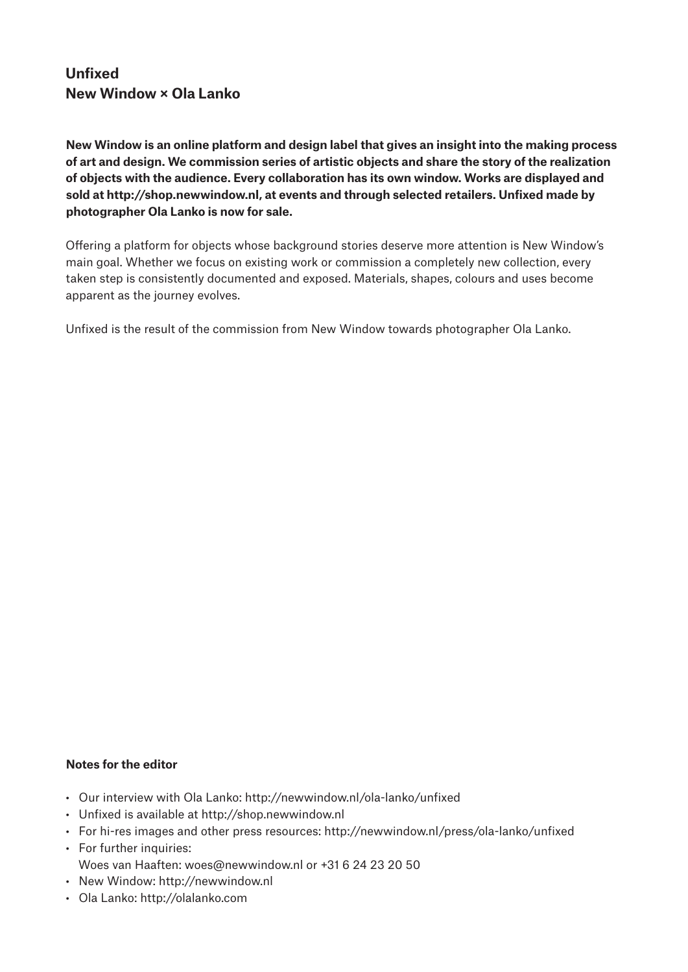# **Unfixed New Window × Ola Lanko**

**New Window is an online platform and design label that gives an insight into the making process of art and design. We commission series of artistic objects and share the story of the realization of objects with the audience. Every collaboration has its own window. Works are displayed and sold at http://shop.newwindow.nl, at events and through selected retailers. Unfixed made by photographer Ola Lanko is now for sale.**

Ofering a platform for objects whose background stories deserve more attention is New Window's main goal. Whether we focus on existing work or commission a completely new collection, every taken step is consistently documented and exposed. Materials, shapes, colours and uses become apparent as the journey evolves.

Unfixed is the result of the commission from New Window towards photographer Ola Lanko.

### **Notes for the editor**

- Our interview with Ola Lanko: http://newwindow.nl/ola-lanko/unfixed
- Unfixed is available at http://shop.newwindow.nl
- Ť For hi-res images and other press resources: http://newwindow.nl/press/ola-lanko/unfixed
- For further inquiries: Woes van Haaften: woes@newwindow.nl or +31 6 24 23 20 50
- New Window: http://newwindow.nl
- Ola Lanko: http://olalanko.com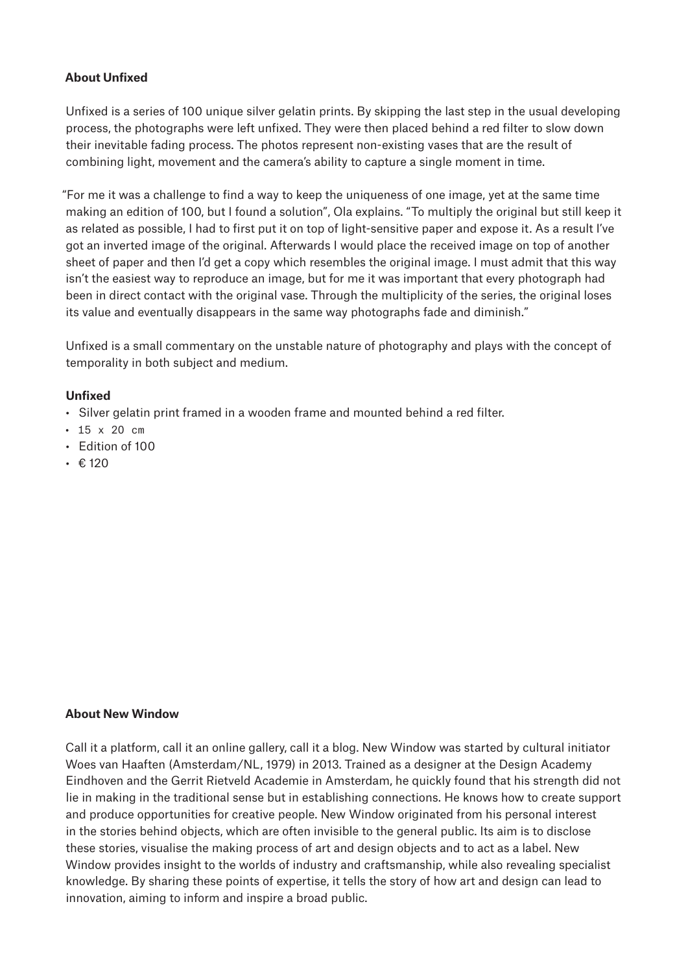## **About Unfixed**

Unfixed is a series of 100 unique silver gelatin prints. By skipping the last step in the usual developing process, the photographs were left unfixed. They were then placed behind a red filter to slow down their inevitable fading process. The photos represent non-existing vases that are the result of combining light, movement and the camera's ability to capture a single moment in time.

"For me it was a challenge to find a way to keep the uniqueness of one image, yet at the same time making an edition of 100, but I found a solution", Ola explains. "To multiply the original but still keep it as related as possible, I had to first put it on top of light-sensitive paper and expose it. As a result I've got an inverted image of the original. Afterwards I would place the received image on top of another sheet of paper and then I'd get a copy which resembles the original image. I must admit that this way isn't the easiest way to reproduce an image, but for me it was important that every photograph had been in direct contact with the original vase. Through the multiplicity of the series, the original loses its value and eventually disappears in the same way photographs fade and diminish."

Unfixed is a small commentary on the unstable nature of photography and plays with the concept of temporality in both subject and medium.

### **Unfixed**

- Silver gelatin print framed in a wooden frame and mounted behind a red filter.
- $\cdot$  15 x 20 cm
- Edition of 100
- $\cdot$  € 120

#### **About New Window**

Call it a platform, call it an online gallery, call it a blog. New Window was started by cultural initiator Woes van Haaften (Amsterdam/NL, 1979) in 2013. Trained as a designer at the Design Academy Eindhoven and the Gerrit Rietveld Academie in Amsterdam, he quickly found that his strength did not lie in making in the traditional sense but in establishing connections. He knows how to create support and produce opportunities for creative people. New Window originated from his personal interest in the stories behind objects, which are often invisible to the general public. Its aim is to disclose these stories, visualise the making process of art and design objects and to act as a label. New Window provides insight to the worlds of industry and craftsmanship, while also revealing specialist knowledge. By sharing these points of expertise, it tells the story of how art and design can lead to innovation, aiming to inform and inspire a broad public.